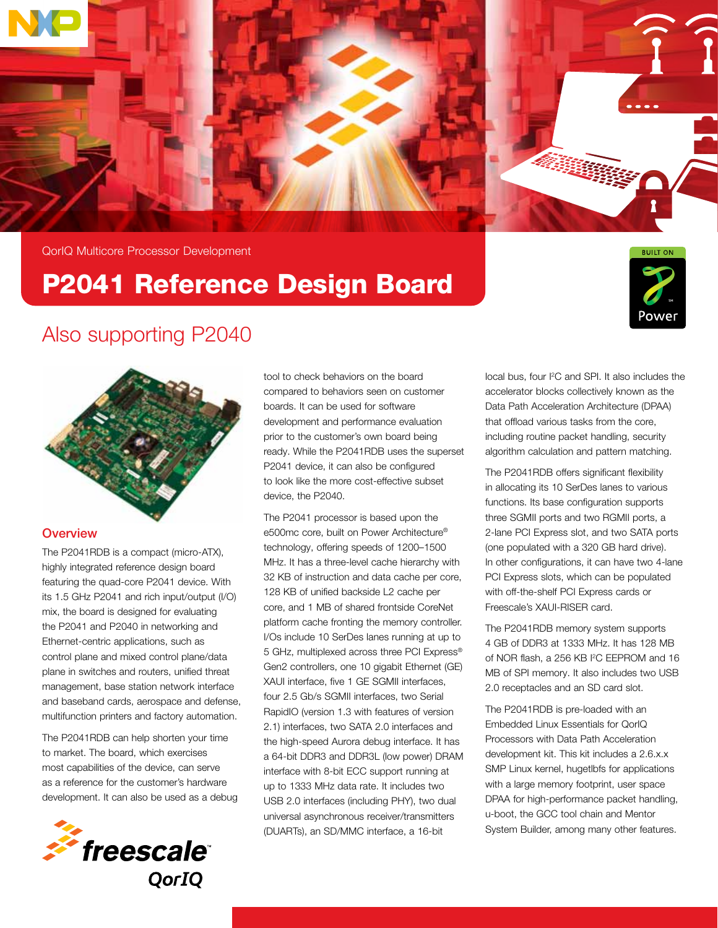



QorIQ Multicore Processor Development

## P2041 Reference Design Board



### Also supporting P2040



#### **Overview**

The P2041RDB is a compact (micro-ATX), highly integrated reference design board featuring the quad-core P2041 device. With its 1.5 GHz P2041 and rich input/output (I/O) mix, the board is designed for evaluating the P2041 and P2040 in networking and Ethernet-centric applications, such as control plane and mixed control plane/data plane in switches and routers, unified threat management, base station network interface and baseband cards, aerospace and defense, multifunction printers and factory automation.

The P2041RDB can help shorten your time to market. The board, which exercises most capabilities of the device, can serve as a reference for the customer's hardware development. It can also be used as a debug



tool to check behaviors on the board compared to behaviors seen on customer boards. It can be used for software development and performance evaluation prior to the customer's own board being ready. While the P2041RDB uses the superset P2041 device, it can also be configured to look like the more cost-effective subset device, the P2040.

The P2041 processor is based upon the e500mc core, built on Power Architecture® technology, offering speeds of 1200–1500 MHz. It has a three-level cache hierarchy with 32 KB of instruction and data cache per core, 128 KB of unified backside L2 cache per core, and 1 MB of shared frontside CoreNet platform cache fronting the memory controller. I/Os include 10 SerDes lanes running at up to 5 GHz, multiplexed across three PCI Express® Gen2 controllers, one 10 gigabit Ethernet (GE) XAUI interface, five 1 GE SGMII interfaces, four 2.5 Gb/s SGMII interfaces, two Serial RapidIO (version 1.3 with features of version 2.1) interfaces, two SATA 2.0 interfaces and the high-speed Aurora debug interface. It has a 64-bit DDR3 and DDR3L (low power) DRAM interface with 8-bit ECC support running at up to 1333 MHz data rate. It includes two USB 2.0 interfaces (including PHY), two dual universal asynchronous receiver/transmitters (DUARTs), an SD/MMC interface, a 16-bit

local bus, four I<sup>2</sup>C and SPI. It also includes the accelerator blocks collectively known as the Data Path Acceleration Architecture (DPAA) that offload various tasks from the core, including routine packet handling, security algorithm calculation and pattern matching.

The P2041RDB offers significant flexibility in allocating its 10 SerDes lanes to various functions. Its base configuration supports three SGMII ports and two RGMII ports, a 2-lane PCI Express slot, and two SATA ports (one populated with a 320 GB hard drive). In other configurations, it can have two 4-lane PCI Express slots, which can be populated with off-the-shelf PCI Express cards or Freescale's XAUI-RISER card.

The P2041RDB memory system supports 4 GB of DDR3 at 1333 MHz. It has 128 MB of NOR flash, a 256 KB I<sup>2</sup>C EEPROM and 16 MB of SPI memory. It also includes two USB 2.0 receptacles and an SD card slot.

The P2041RDB is pre-loaded with an Embedded Linux Essentials for QorIQ Processors with Data Path Acceleration development kit. This kit includes a 2.6.x.x SMP Linux kernel, hugetlbfs for applications with a large memory footprint, user space DPAA for high-performance packet handling, u-boot, the GCC tool chain and Mentor System Builder, among many other features.